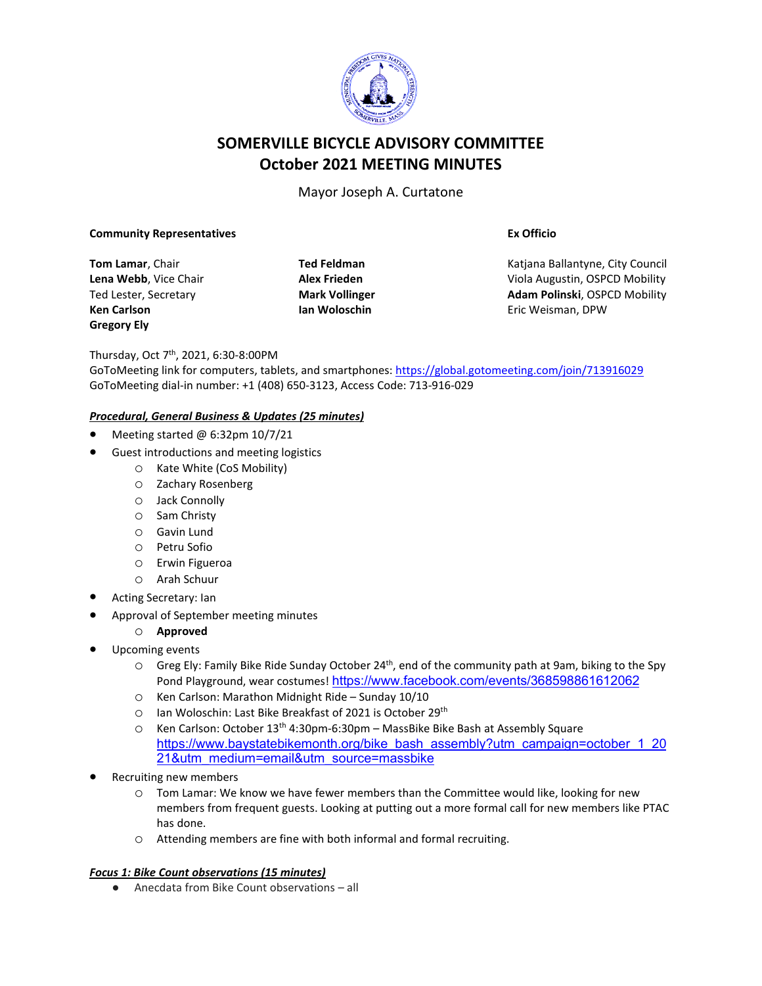

# **SOMERVILLE BICYCLE ADVISORY COMMITTEE October 2021 MEETING MINUTES**

Mayor Joseph A. Curtatone

#### **Community Representatives**

**Tom Lamar**, Chair **Lena Webb**, Vice Chair Ted Lester, Secretary **Ken Carlson Gregory Ely**

**Ted Feldman Alex Frieden Mark Vollinger Ian Woloschin**

**Ex Officio**

Katjana Ballantyne, City Council Viola Augustin, OSPCD Mobility **Adam Polinski**, OSPCD Mobility Eric Weisman, DPW

Thursday, Oct 7th, 2021, 6:30-8:00PM

GoToMeeting link for computers, tablets, and smartphones: <https://global.gotomeeting.com/join/713916029> GoToMeeting dial-in number: +1 (408) 650-3123, Access Code: 713-916-029

### *Procedural, General Business & Updates (25 minutes)*

- Meeting started @ 6:32pm 10/7/21
- Guest introductions and meeting logistics
	- o Kate White (CoS Mobility)
	- o Zachary Rosenberg
	- o Jack Connolly
	- o Sam Christy
	- o Gavin Lund
	- o Petru Sofio
	- o Erwin Figueroa
	- o Arah Schuur
- Acting Secretary: Ian
- Approval of September meeting minutes
- o **Approved**
- Upcoming events
	- $\circ$  Greg Ely: Family Bike Ride Sunday October 24<sup>th</sup>, end of the community path at 9am, biking to the Spy Pond Playground, wear costumes! <https://www.facebook.com/events/368598861612062>
	- o Ken Carlson: Marathon Midnight Ride Sunday 10/10
	- o Ian Woloschin: Last Bike Breakfast of 2021 is October 29th
	- o Ken Carlson: October 13th 4:30pm-6:30pm MassBike Bike Bash at Assembly Square [https://www.baystatebikemonth.org/bike\\_bash\\_assembly?utm\\_campaign=october\\_1\\_20](https://www.baystatebikemonth.org/bike_bash_assembly?utm_campaign=october_1_2021&utm_medium=email&utm_source=massbike) [21&utm\\_medium=email&utm\\_source=massbike](https://www.baystatebikemonth.org/bike_bash_assembly?utm_campaign=october_1_2021&utm_medium=email&utm_source=massbike)
- Recruiting new members
	- o Tom Lamar: We know we have fewer members than the Committee would like, looking for new members from frequent guests. Looking at putting out a more formal call for new members like PTAC has done.
	- o Attending members are fine with both informal and formal recruiting.

#### *Focus 1: Bike Count observations (15 minutes)*

● Anecdata from Bike Count observations – all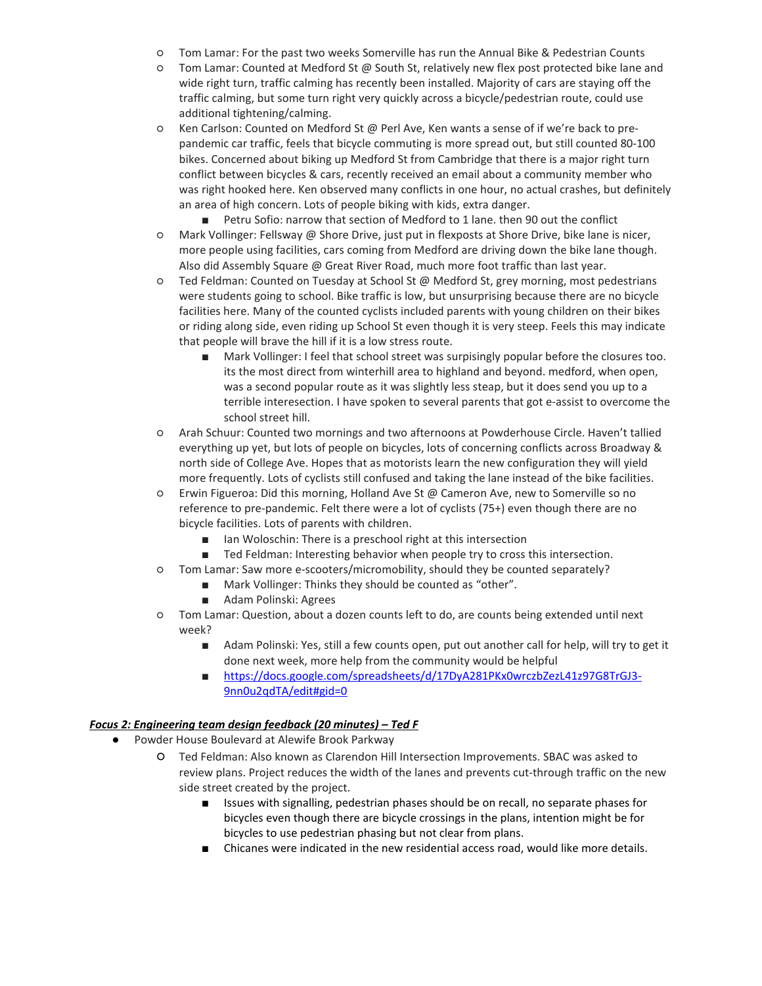- Tom Lamar: For the past two weeks Somerville has run the Annual Bike & Pedestrian Counts
- Tom Lamar: Counted at Medford St @ South St, relatively new flex post protected bike lane and wide right turn, traffic calming has recently been installed. Majority of cars are staying off the traffic calming, but some turn right very quickly across a bicycle/pedestrian route, could use additional tightening/calming.
- Ken Carlson: Counted on Medford St @ Perl Ave, Ken wants a sense of if we're back to prepandemic car traffic, feels that bicycle commuting is more spread out, but still counted 80-100 bikes. Concerned about biking up Medford St from Cambridge that there is a major right turn conflict between bicycles & cars, recently received an email about a community member who was right hooked here. Ken observed many conflicts in one hour, no actual crashes, but definitely an area of high concern. Lots of people biking with kids, extra danger.
	- Petru Sofio: narrow that section of Medford to 1 lane. then 90 out the conflict
- Mark Vollinger: Fellsway @ Shore Drive, just put in flexposts at Shore Drive, bike lane is nicer, more people using facilities, cars coming from Medford are driving down the bike lane though. Also did Assembly Square @ Great River Road, much more foot traffic than last year.
- Ted Feldman: Counted on Tuesday at School St @ Medford St, grey morning, most pedestrians were students going to school. Bike traffic is low, but unsurprising because there are no bicycle facilities here. Many of the counted cyclists included parents with young children on their bikes or riding along side, even riding up School St even though it is very steep. Feels this may indicate that people will brave the hill if it is a low stress route.
	- Mark Vollinger: I feel that school street was surpisingly popular before the closures too. its the most direct from winterhill area to highland and beyond. medford, when open, was a second popular route as it was slightly less steap, but it does send you up to a terrible interesection. I have spoken to several parents that got e-assist to overcome the school street hill.
- Arah Schuur: Counted two mornings and two afternoons at Powderhouse Circle. Haven't tallied everything up yet, but lots of people on bicycles, lots of concerning conflicts across Broadway & north side of College Ave. Hopes that as motorists learn the new configuration they will yield more frequently. Lots of cyclists still confused and taking the lane instead of the bike facilities.
- Erwin Figueroa: Did this morning, Holland Ave St @ Cameron Ave, new to Somerville so no reference to pre-pandemic. Felt there were a lot of cyclists (75+) even though there are no bicycle facilities. Lots of parents with children.
	- Ian Woloschin: There is a preschool right at this intersection
	- Ted Feldman: Interesting behavior when people try to cross this intersection.
- Tom Lamar: Saw more e-scooters/micromobility, should they be counted separately?
	- Mark Vollinger: Thinks they should be counted as "other".
	- Adam Polinski: Agrees
- Tom Lamar: Question, about a dozen counts left to do, are counts being extended until next week?
	- Adam Polinski: Yes, still a few counts open, put out another call for help, will try to get it done next week, more help from the community would be helpful
	- [https://docs.google.com/spreadsheets/d/17DyA281PKx0wrczbZezL41z97G8TrGJ3-](https://docs.google.com/spreadsheets/d/17DyA281PKx0wrczbZezL41z97G8TrGJ3-9nn0u2qdTA/edit#gid=0) [9nn0u2qdTA/edit#gid=0](https://docs.google.com/spreadsheets/d/17DyA281PKx0wrczbZezL41z97G8TrGJ3-9nn0u2qdTA/edit#gid=0)

#### *Focus 2: Engineering team design feedback (20 minutes) – Ted F*

- Powder House Boulevard at Alewife Brook Parkway
	- Ted Feldman: Also known as Clarendon Hill Intersection Improvements. SBAC was asked to review plans. Project reduces the width of the lanes and prevents cut-through traffic on the new side street created by the project.
		- Issues with signalling, pedestrian phases should be on recall, no separate phases for bicycles even though there are bicycle crossings in the plans, intention might be for bicycles to use pedestrian phasing but not clear from plans.
		- Chicanes were indicated in the new residential access road, would like more details.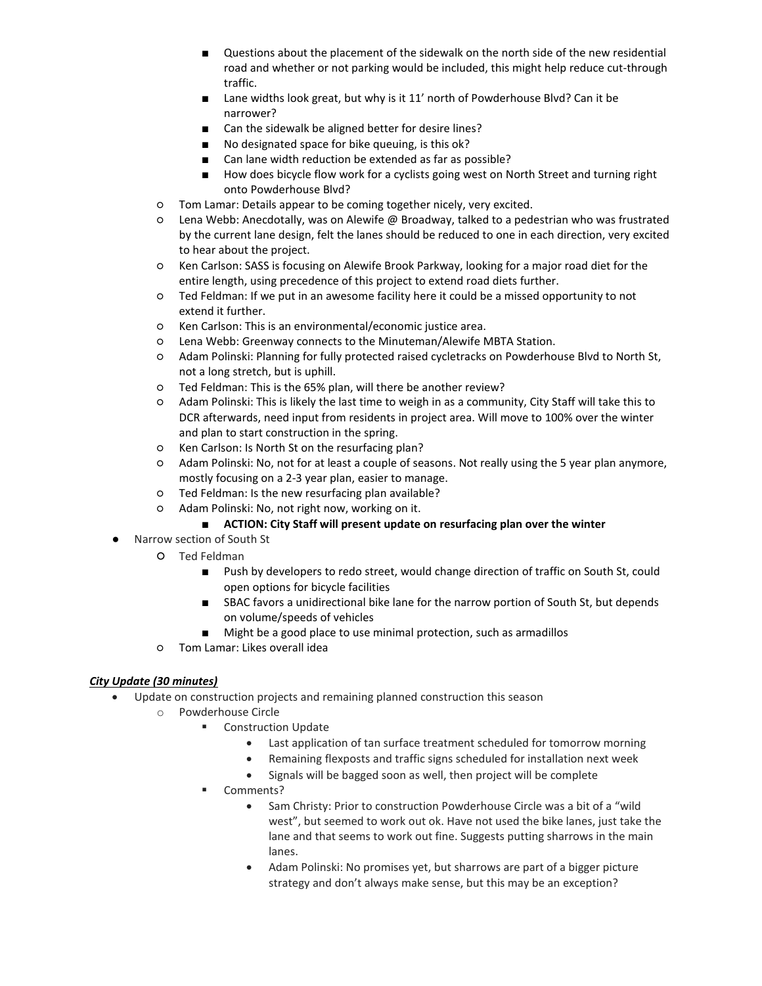- Questions about the placement of the sidewalk on the north side of the new residential road and whether or not parking would be included, this might help reduce cut-through traffic.
- Lane widths look great, but why is it 11' north of Powderhouse Blvd? Can it be narrower?
- Can the sidewalk be aligned better for desire lines?
- No designated space for bike queuing, is this ok?
- Can lane width reduction be extended as far as possible?
- How does bicycle flow work for a cyclists going west on North Street and turning right onto Powderhouse Blvd?
- Tom Lamar: Details appear to be coming together nicely, very excited.
- Lena Webb: Anecdotally, was on Alewife @ Broadway, talked to a pedestrian who was frustrated by the current lane design, felt the lanes should be reduced to one in each direction, very excited to hear about the project.
- Ken Carlson: SASS is focusing on Alewife Brook Parkway, looking for a major road diet for the entire length, using precedence of this project to extend road diets further.
- Ted Feldman: If we put in an awesome facility here it could be a missed opportunity to not extend it further.
- Ken Carlson: This is an environmental/economic justice area.
- Lena Webb: Greenway connects to the Minuteman/Alewife MBTA Station.
- Adam Polinski: Planning for fully protected raised cycletracks on Powderhouse Blvd to North St, not a long stretch, but is uphill.
- Ted Feldman: This is the 65% plan, will there be another review?
- Adam Polinski: This is likely the last time to weigh in as a community, City Staff will take this to DCR afterwards, need input from residents in project area. Will move to 100% over the winter and plan to start construction in the spring.
- Ken Carlson: Is North St on the resurfacing plan?
- Adam Polinski: No, not for at least a couple of seasons. Not really using the 5 year plan anymore, mostly focusing on a 2-3 year plan, easier to manage.
- Ted Feldman: Is the new resurfacing plan available?
- Adam Polinski: No, not right now, working on it.
	- **ACTION: City Staff will present update on resurfacing plan over the winter**
- Narrow section of South St
	- Ted Feldman
		- Push by developers to redo street, would change direction of traffic on South St, could open options for bicycle facilities
		- SBAC favors a unidirectional bike lane for the narrow portion of South St, but depends on volume/speeds of vehicles
		- Might be a good place to use minimal protection, such as armadillos
	- Tom Lamar: Likes overall idea

## *City Update (30 minutes)*

- Update on construction projects and remaining planned construction this season
	- o Powderhouse Circle
		- Construction Update
			- Last application of tan surface treatment scheduled for tomorrow morning
			- Remaining flexposts and traffic signs scheduled for installation next week
			- Signals will be bagged soon as well, then project will be complete
		- Comments?
			- Sam Christy: Prior to construction Powderhouse Circle was a bit of a "wild west", but seemed to work out ok. Have not used the bike lanes, just take the lane and that seems to work out fine. Suggests putting sharrows in the main lanes.
			- Adam Polinski: No promises yet, but sharrows are part of a bigger picture strategy and don't always make sense, but this may be an exception?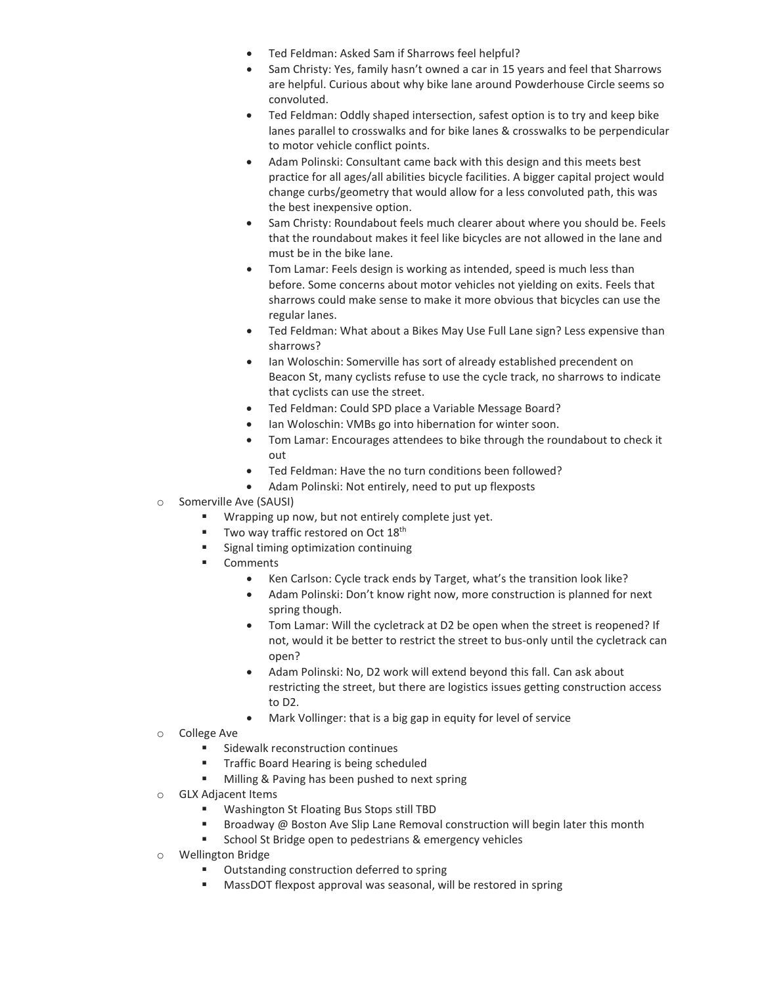- Ted Feldman: Asked Sam if Sharrows feel helpful?
- Sam Christy: Yes, family hasn't owned a car in 15 years and feel that Sharrows are helpful. Curious about why bike lane around Powderhouse Circle seems so convoluted.
- Ted Feldman: Oddly shaped intersection, safest option is to try and keep bike lanes parallel to crosswalks and for bike lanes & crosswalks to be perpendicular to motor vehicle conflict points.
- Adam Polinski: Consultant came back with this design and this meets best practice for all ages/all abilities bicycle facilities. A bigger capital project would change curbs/geometry that would allow for a less convoluted path, this was the best inexpensive option.
- Sam Christy: Roundabout feels much clearer about where you should be. Feels that the roundabout makes it feel like bicycles are not allowed in the lane and must be in the bike lane.
- Tom Lamar: Feels design is working as intended, speed is much less than before. Some concerns about motor vehicles not yielding on exits. Feels that sharrows could make sense to make it more obvious that bicycles can use the regular lanes.
- Ted Feldman: What about a Bikes May Use Full Lane sign? Less expensive than sharrows?
- Ian Woloschin: Somerville has sort of already established precendent on Beacon St, many cyclists refuse to use the cycle track, no sharrows to indicate that cyclists can use the street.
- Ted Feldman: Could SPD place a Variable Message Board?
- Ian Woloschin: VMBs go into hibernation for winter soon.
- Tom Lamar: Encourages attendees to bike through the roundabout to check it out
- Ted Feldman: Have the no turn conditions been followed?
- Adam Polinski: Not entirely, need to put up flexposts
- o Somerville Ave (SAUSI)
	- Wrapping up now, but not entirely complete just yet.
	- Two way traffic restored on Oct 18<sup>th</sup>
	- Signal timing optimization continuing
	- Comments
		- Ken Carlson: Cycle track ends by Target, what's the transition look like?
		- Adam Polinski: Don't know right now, more construction is planned for next spring though.
		- Tom Lamar: Will the cycletrack at D2 be open when the street is reopened? If not, would it be better to restrict the street to bus-only until the cycletrack can open?
		- Adam Polinski: No, D2 work will extend beyond this fall. Can ask about restricting the street, but there are logistics issues getting construction access to D2.
		- Mark Vollinger: that is a big gap in equity for level of service
- o College Ave
	- Sidewalk reconstruction continues
	- Traffic Board Hearing is being scheduled
	- **Milling & Paving has been pushed to next spring**
- o GLX Adjacent Items
	- Washington St Floating Bus Stops still TBD
	- **Broadway @ Boston Ave Slip Lane Removal construction will begin later this month**
	- School St Bridge open to pedestrians & emergency vehicles
- o Wellington Bridge
	- Outstanding construction deferred to spring
	- MassDOT flexpost approval was seasonal, will be restored in spring